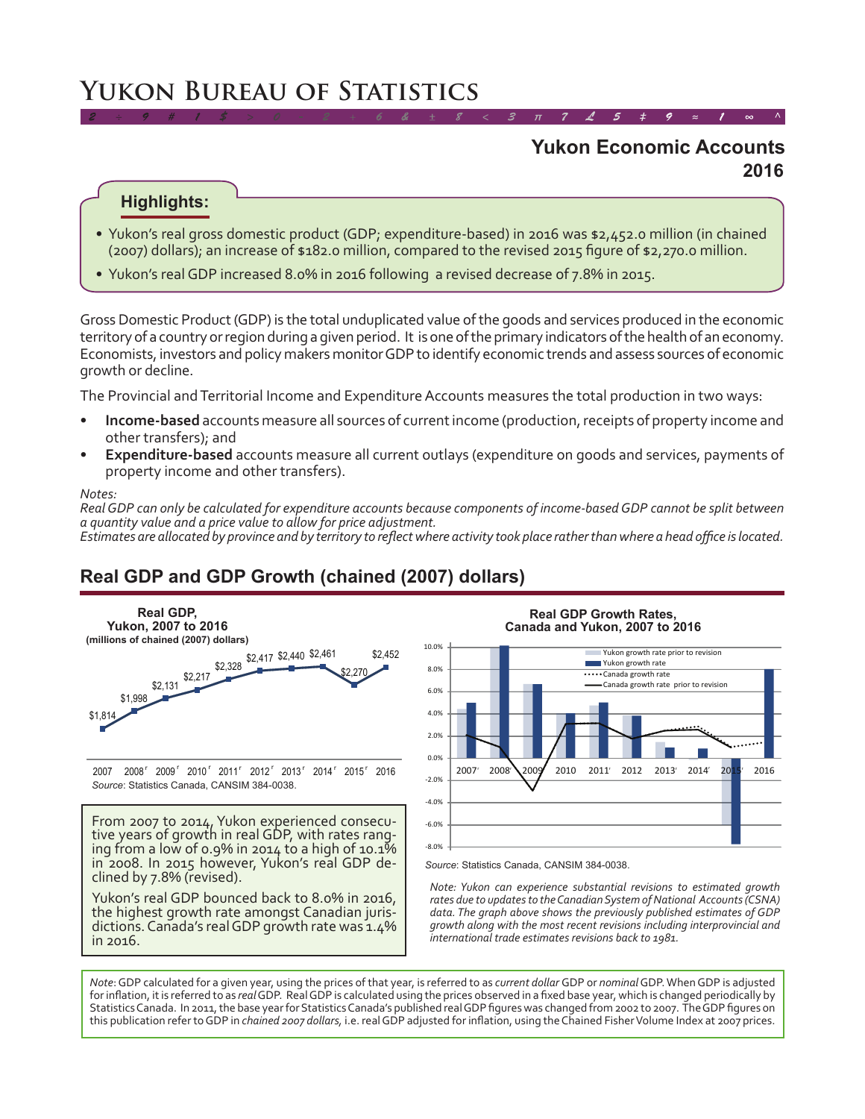# **Yukon Bureau of Statistics**

### **2016 Yukon Economic Accounts**

*2 ÷ 9 # 1 \$ > 0 - 2 + 6 & ± 8 < 3 π 7 £ 5 ‡ 9 ≈ 1 ∞ ^*

#### **Highlights:**

- Yukon's real gross domestic product (GDP; expenditure-based) in 2016 was \$2,452.0 million (in chained (2007) dollars); an increase of \$182.0 million, compared to the revised 2015 figure of \$2,270.0 million.
- • Yukon's real GDP increased 8.0% in 2016 following a revised decrease of 7.8% in 2015.

Gross Domestic Product (GDP) is the total unduplicated value of the goods and services produced in the economic territory of a country or region during a given period. It is one of the primary indicators of the health of an economy. Economists, investors and policy makers monitor GDP to identify economic trends and assess sources of economic growth or decline.

The Provincial and Territorial Income and Expenditure Accounts measures the total production in two ways:

- **Income-based** accounts measure all sources of current income (production, receipts of property income and other transfers); and
- **Expenditure-based** accounts measure all current outlays (expenditure on goods and services, payments of property income and other transfers).

#### *Notes:*

*Real GDP can only be calculated for expenditure accounts because components of income-based GDP cannot be split between a quantity value and a price value to allow for price adjustment.*

*Estimates are allocated by province and by territory to reflect where activity took place rather than where a head office is located.*

## **Real GDP and GDP Growth (chained (2007) dollars)**



From 2007 to 2014, Yukon experienced consecu-<br>tive years of growth in real GDP, with rates rang-<br>ing from a low of 0.9% in 2014 to a high of 10.1% in 2008. In 2015 however, Yukon's real GDP de-<br>clined by 7.8% (revised).

Yukon's real GDP bounced back to 8.0% in 2016, the highest growth rate amongst Canadian juris- dictions. Canada's real GDP growth rate was 1.4% in 2016.



**Real GDP Growth Rates,** 

Source: Statistics Canada, CANSIM 384-0038.

*Note: Yukon can experience substantial revisions to estimated growth rates due to updates to the Canadian System of National Accounts (CSNA) data. The graph above shows the previously published estimates of GDP growth along with the most recent revisions including interprovincial and international trade estimates revisions back to 1981.*

*Note*: GDP calculated for a given year, using the prices of that year, is referred to as *current dollar* GDP or *nominal* GDP. When GDP is adjusted forinflation, itis referred to as *real*GDP. RealGDP is calculated using the prices observed in a fixed base year, which is changed periodically by Statistics Canada. In 2011, the base year for Statistics Canada's published real GDP figures was changed from 2002 to 2007. The GDP figures on this publication refer to GDP in *chained 2007 dollars,* i.e. realGDP adjusted for inflation, using theChained FisherVolume Index at 2007 prices.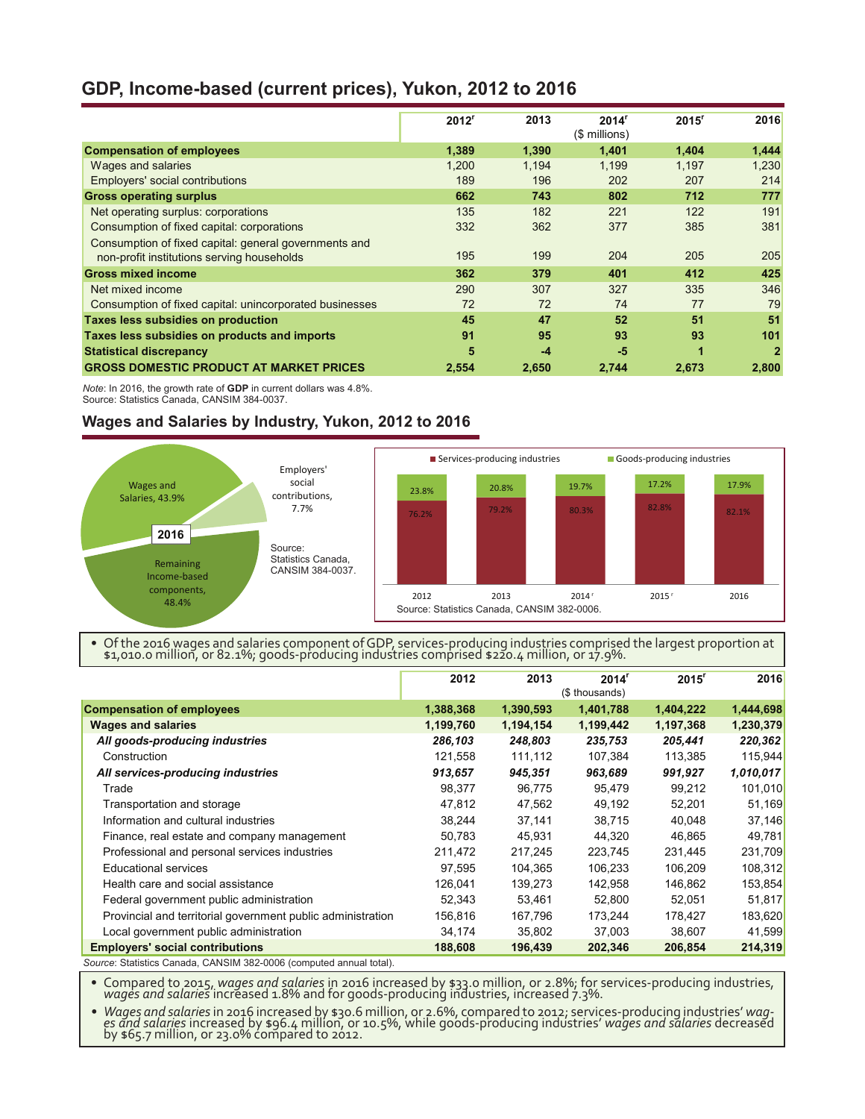#### **GDP, Income-based (current prices), Yukon, 2012 to 2016**

|                                                         | 2012 <sup>r</sup> | 2013  | 2014 <sup>r</sup><br>(\$ millions) | 2015 <sup>r</sup>    | 2016           |
|---------------------------------------------------------|-------------------|-------|------------------------------------|----------------------|----------------|
| <b>Compensation of employees</b>                        | 1,389             | 1,390 | 1,401                              | 1,404                | 1,444          |
| Wages and salaries                                      | 1.200             | 1.194 | 1.199                              | 1.197                | 1.230          |
| Employers' social contributions                         | 189               | 196   | 202                                | 207                  | 214            |
| <b>Gross operating surplus</b>                          | 662               | 743   | 802                                | 712                  | 777            |
| Net operating surplus: corporations                     | 135               | 182   | 221                                | 122                  | 191            |
| Consumption of fixed capital: corporations              | 332               | 362   | 377                                | 385                  | 381            |
| Consumption of fixed capital: general governments and   |                   |       |                                    |                      |                |
| non-profit institutions serving households              | 195               | 199   | 204                                | 205                  | 205            |
| <b>Gross mixed income</b>                               | 362               | 379   | 401                                | 412                  | 425            |
| Net mixed income                                        | 290               | 307   | 327                                | 335                  | 346            |
| Consumption of fixed capital: unincorporated businesses | 72                | 72    | 74                                 | 77                   | 79             |
| Taxes less subsidies on production                      | 45                | 47    | 52                                 | 51                   | 51             |
| Taxes less subsidies on products and imports            | 91                | 95    | 93                                 | 93                   | 101            |
| <b>Statistical discrepancy</b>                          | 5                 | $-4$  | $-5$                               | $\blacktriangleleft$ | $\overline{2}$ |
| <b>GROSS DOMESTIC PRODUCT AT MARKET PRICES</b>          | 2,554             | 2,650 | 2,744                              | 2,673                | 2,800          |

*Note*: In 2016, the growth rate of **GDP** in current dollars was 4.8%. Source: Statistics Canada, CANSIM 384-0037.

#### **Wages and Salaries by Industry, Yukon, 2012 to 2016**



• Of the 2016 wages and salaries component of GDP, services-producing industries comprised the largest proportion at \$1,010.0 million, or 82.1%; goods-producing industries comprised \$220.4 million, or 17.9%.

|                                                                     | 2012      | 2013      | 2014 <sup>r</sup> | 2015 <sup>r</sup> | 2016      |
|---------------------------------------------------------------------|-----------|-----------|-------------------|-------------------|-----------|
|                                                                     |           |           | (\$ thousands)    |                   |           |
| <b>Compensation of employees</b>                                    | 1,388,368 | 1,390,593 | 1,401,788         | 1,404,222         | 1,444,698 |
| <b>Wages and salaries</b>                                           | 1,199,760 | 1,194,154 | 1,199,442         | 1,197,368         | 1,230,379 |
| All goods-producing industries                                      | 286,103   | 248,803   | 235,753           | 205,441           | 220,362   |
| Construction                                                        | 121,558   | 111,112   | 107,384           | 113,385           | 115,944   |
| All services-producing industries                                   | 913,657   | 945,351   | 963,689           | 991,927           | 1,010,017 |
| Trade                                                               | 98,377    | 96,775    | 95,479            | 99,212            | 101,010   |
| Transportation and storage                                          | 47,812    | 47,562    | 49,192            | 52.201            | 51,169    |
| Information and cultural industries                                 | 38,244    | 37,141    | 38,715            | 40,048            | 37,146    |
| Finance, real estate and company management                         | 50,783    | 45,931    | 44.320            | 46,865            | 49,781    |
| Professional and personal services industries                       | 211,472   | 217,245   | 223,745           | 231,445           | 231,709   |
| <b>Educational services</b>                                         | 97,595    | 104,365   | 106,233           | 106,209           | 108,312   |
| Health care and social assistance                                   | 126,041   | 139,273   | 142,958           | 146,862           | 153,854   |
| Federal government public administration                            | 52,343    | 53,461    | 52,800            | 52,051            | 51,817    |
| Provincial and territorial government public administration         | 156,816   | 167,796   | 173,244           | 178,427           | 183,620   |
| Local government public administration                              | 34,174    | 35,802    | 37,003            | 38,607            | 41,599    |
| <b>Employers' social contributions</b>                              | 188,608   | 196,439   | 202,346           | 206,854           | 214,319   |
| Course: Statistics Canada, CANISIM 202 0006 (computed annual total) |           |           |                   |                   |           |

 $\,$ s Canada, CANSIM 382-0006 (computed annual total).

Compared to 2015, *wages and salaries* in 2016 increased by \$33.0 million, or 2.8%; for services-producing industries, *wages and salaries* increased 1.8% and for goods-producing industries, *wages and salaries* increased

- Wages and salaries in 2016 increased by \$30.6 million, or 2.6%, compared to 2012; services-producing industries' wag-<br>es and salaries increased by \$96.4 million, or 10.5%, while goods-producing industries' wages and sala by \$65.7 million, or 23.0% compared to 2012.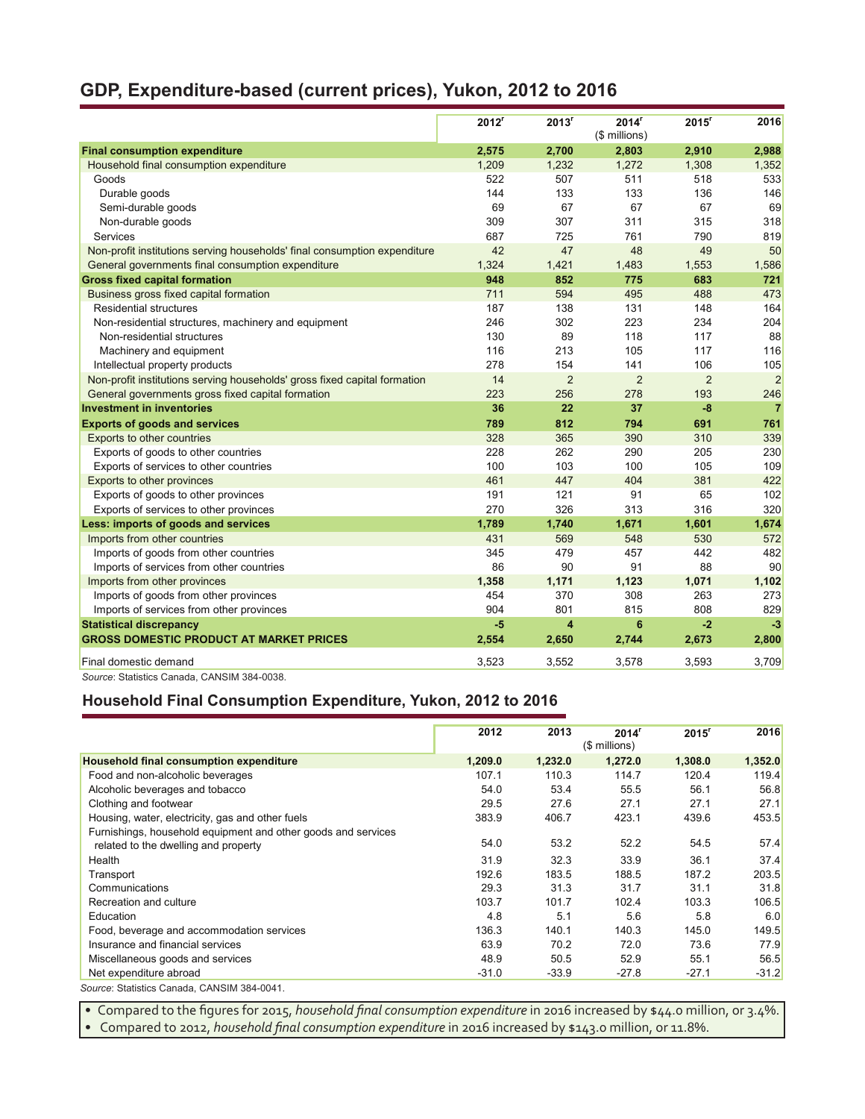## **GDP, Expenditure-based (current prices), Yukon, 2012 to 2016**

|                                                                           | 2012 <sup>r</sup> | 2013 <sup>r</sup>       | 2014 <sup>r</sup><br>(\$ millions) | $2015$ <sup>r</sup> | 2016           |
|---------------------------------------------------------------------------|-------------------|-------------------------|------------------------------------|---------------------|----------------|
| <b>Final consumption expenditure</b>                                      | 2,575             | 2,700                   | 2,803                              | 2,910               | 2,988          |
| Household final consumption expenditure                                   | 1,209             | 1,232                   | 1,272                              | 1,308               | 1,352          |
| Goods                                                                     | 522               | 507                     | 511                                | 518                 | 533            |
| Durable goods                                                             | 144               | 133                     | 133                                | 136                 | 146            |
| Semi-durable goods                                                        | 69                | 67                      | 67                                 | 67                  | 69             |
| Non-durable goods                                                         | 309               | 307                     | 311                                | 315                 | 318            |
| Services                                                                  | 687               | 725                     | 761                                | 790                 | 819            |
| Non-profit institutions serving households' final consumption expenditure | 42                | 47                      | 48                                 | 49                  | 50             |
| General governments final consumption expenditure                         | 1,324             | 1,421                   | 1,483                              | 1,553               | 1,586          |
| <b>Gross fixed capital formation</b>                                      | 948               | 852                     | 775                                | 683                 | 721            |
| Business gross fixed capital formation                                    | 711               | 594                     | 495                                | 488                 | 473            |
| Residential structures                                                    | 187               | 138                     | 131                                | 148                 | 164            |
| Non-residential structures, machinery and equipment                       | 246               | 302                     | 223                                | 234                 | 204            |
| Non-residential structures                                                | 130               | 89                      | 118                                | 117                 | 88             |
| Machinery and equipment                                                   | 116               | 213                     | 105                                | 117                 | 116            |
| Intellectual property products                                            | 278               | 154                     | 141                                | 106                 | 105            |
| Non-profit institutions serving households' gross fixed capital formation | 14                | $\overline{2}$          | $\overline{2}$                     | 2                   | $\overline{2}$ |
| General governments gross fixed capital formation                         | 223               | 256                     | 278                                | 193                 | 246            |
| <b>Investment in inventories</b>                                          | 36                | 22                      | 37                                 | $-8$                | $\overline{7}$ |
| <b>Exports of goods and services</b>                                      | 789               | 812                     | 794                                | 691                 | 761            |
| Exports to other countries                                                | 328               | 365                     | 390                                | 310                 | 339            |
| Exports of goods to other countries                                       | 228               | 262                     | 290                                | 205                 | 230            |
| Exports of services to other countries                                    | 100               | 103                     | 100                                | 105                 | 109            |
| Exports to other provinces                                                | 461               | 447                     | 404                                | 381                 | 422            |
| Exports of goods to other provinces                                       | 191               | 121                     | 91                                 | 65                  | 102            |
| Exports of services to other provinces                                    | 270               | 326                     | 313                                | 316                 | 320            |
| Less: imports of goods and services                                       | 1,789             | 1,740                   | 1,671                              | 1,601               | 1,674          |
| Imports from other countries                                              | 431               | 569                     | 548                                | 530                 | 572            |
| Imports of goods from other countries                                     | 345               | 479                     | 457                                | 442                 | 482            |
| Imports of services from other countries                                  | 86                | 90                      | 91                                 | 88                  | 90             |
| Imports from other provinces                                              | 1,358             | 1,171                   | 1,123                              | 1,071               | 1,102          |
| Imports of goods from other provinces                                     | 454               | 370                     | 308                                | 263                 | 273            |
| Imports of services from other provinces                                  | 904               | 801                     | 815                                | 808                 | 829            |
| <b>Statistical discrepancy</b>                                            | $-5$              | $\overline{\mathbf{4}}$ | 6                                  | $-2$                | $-3$           |
| <b>GROSS DOMESTIC PRODUCT AT MARKET PRICES</b>                            | 2,554             | 2,650                   | 2,744                              | 2,673               | 2,800          |
| Final domestic demand                                                     | 3,523             | 3,552                   | 3,578                              | 3,593               | 3,709          |
| Source: Statistics Canada, CANSIM 384-0038.                               |                   |                         |                                    |                     |                |

#### **Household Final Consumption Expenditure, Yukon, 2012 to 2016**

|                                                               | 2012    | 2013    | 2014 <sup>r</sup><br>(\$ millions) | $2015$ <sup>r</sup> | 2016    |
|---------------------------------------------------------------|---------|---------|------------------------------------|---------------------|---------|
| Household final consumption expenditure                       | 1,209.0 | 1,232.0 | 1,272.0                            | 1,308.0             | 1,352.0 |
| Food and non-alcoholic beverages                              | 107.1   | 110.3   | 114.7                              | 120.4               | 119.4   |
| Alcoholic beverages and tobacco                               | 54.0    | 53.4    | 55.5                               | 56.1                | 56.8    |
| Clothing and footwear                                         | 29.5    | 27.6    | 27.1                               | 27.1                | 27.1    |
| Housing, water, electricity, gas and other fuels              | 383.9   | 406.7   | 423.1                              | 439.6               | 453.5   |
| Furnishings, household equipment and other goods and services |         |         |                                    |                     |         |
| related to the dwelling and property                          | 54.0    | 53.2    | 52.2                               | 54.5                | 57.4    |
| Health                                                        | 31.9    | 32.3    | 33.9                               | 36.1                | 37.4    |
| Transport                                                     | 192.6   | 183.5   | 188.5                              | 187.2               | 203.5   |
| Communications                                                | 29.3    | 31.3    | 31.7                               | 31.1                | 31.8    |
| Recreation and culture                                        | 103.7   | 101.7   | 102.4                              | 103.3               | 106.5   |
| Education                                                     | 4.8     | 5.1     | 5.6                                | 5.8                 | 6.0     |
| Food, beverage and accommodation services                     | 136.3   | 140.1   | 140.3                              | 145.0               | 149.5   |
| Insurance and financial services                              | 63.9    | 70.2    | 72.0                               | 73.6                | 77.9    |
| Miscellaneous goods and services                              | 48.9    | 50.5    | 52.9                               | 55.1                | 56.5    |
| Net expenditure abroad                                        | $-31.0$ | $-33.9$ | $-27.8$                            | $-27.1$             | $-31.2$ |
| Source: Statistics Canada, CANSIM 384-0041.                   |         |         |                                    |                     |         |

• Compared to the figures for 2015, *household final consumption expenditure* in 2016 increased by \$44.0 million, or 3.4%. • Compared to 2012, *household final consumption expenditure* in 2016 increased by \$143.0 million, or 11.8%.